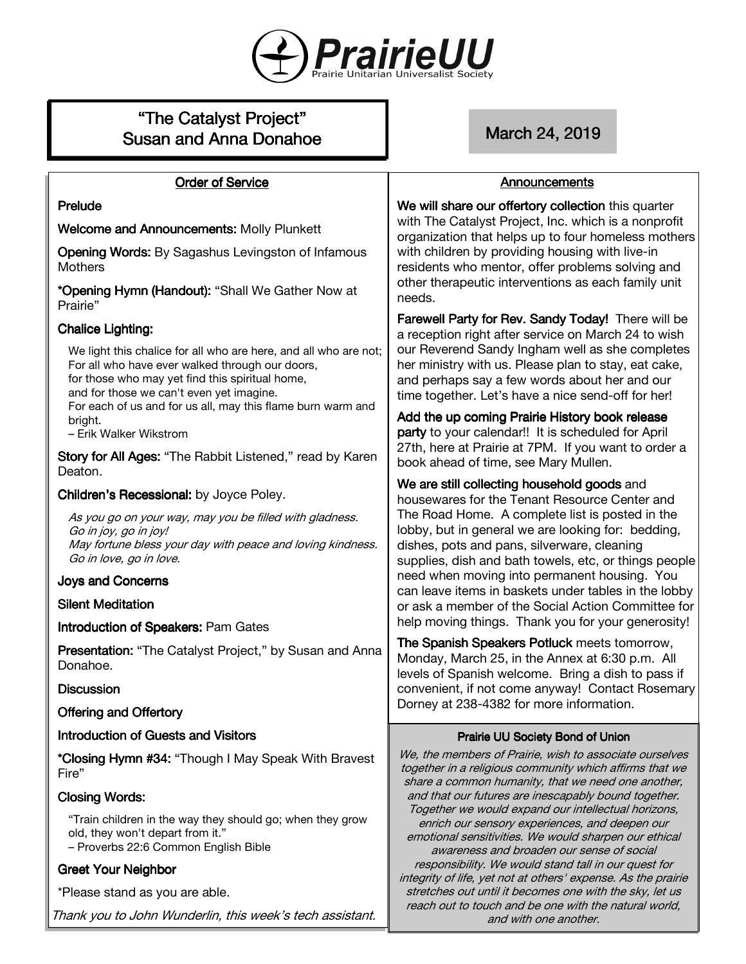

# "The Catalyst Project" Susan and Anna Donahoe March 24, 2019

#### **Order of Service**

# Prelude

Welcome and Announcements: Molly Plunkett

Opening Words: By Sagashus Levingston of Infamous **Mothers** 

\*Opening Hymn (Handout): "Shall We Gather Now at Prairie"

# **Chalice Lighting:**

We light this chalice for all who are here, and all who are not; For all who have ever walked through our doors, for those who may yet find this spiritual home, and for those we can't even yet imagine. For each of us and for us all, may this flame burn warm and

bright. – Erik Walker Wikstrom

Story for All Ages: "The Rabbit Listened," read by Karen Deaton.

# Children's Recessional: by Joyce Poley.

As you go on your way, may you be filled with gladness. Go in joy, go in joy! May fortune bless your day with peace and loving kindness. Go in love, go in love.

# **Joys and Concerns**

# **Silent Meditation**

Introduction of Speakers: Pam Gates

Presentation: "The Catalyst Project," by Susan and Anna Donahoe.

# **Discussion**

Offering and Offertory

# Introduction of Guests and Visitors

\*Closing Hymn #34: "Though I May Speak With Bravest Fire"

# **Closing Words:**

"Train children in the way they should go; when they grow old, they won't depart from it." – Proverbs 22:6 Common English Bible

# **Greet Your Neighbor**

\*Please stand as you are able.

Thank you to John Wunderlin, this week's tech assistant.

# Announcements

We will share our offertory collection this quarter with The Catalyst Project, Inc. which is a nonprofit organization that helps up to four homeless mothers with children by providing housing with live-in residents who mentor, offer problems solving and other therapeutic interventions as each family unit needs.

Farewell Party for Rev. Sandy Today! There will be a reception right after service on March 24 to wish our Reverend Sandy Ingham well as she completes her ministry with us. Please plan to stay, eat cake, and perhaps say a few words about her and our time together. Let's have a nice send-off for her!

Add the up coming Prairie History book release party to your calendar!! It is scheduled for April 27th, here at Prairie at 7PM. If you want to order a book ahead of time, see Mary Mullen.

We are still collecting household goods and housewares for the Tenant Resource Center and The Road Home. A complete list is posted in the lobby, but in general we are looking for: bedding, dishes, pots and pans, silverware, cleaning supplies, dish and bath towels, etc, or things people need when moving into permanent housing. You can leave items in baskets under tables in the lobby or ask a member of the Social Action Committee for help moving things. Thank you for your generosity!

The Spanish Speakers Potluck meets tomorrow, Monday, March 25, in the Annex at 6:30 p.m. All levels of Spanish welcome. Bring a dish to pass if convenient, if not come anyway! Contact Rosemary Dorney at 238-4382 for more information.

# Prairie UU Society Bond of Union

We, the members of Prairie, wish to associate ourselves together in a religious community which affirms that we share a common humanity, that we need one another, and that our futures are inescapably bound together. Together we would expand our intellectual horizons, enrich our sensory experiences, and deepen our emotional sensitivities. We would sharpen our ethical awareness and broaden our sense of social responsibility. We would stand tall in our quest for integrity of life, yet not at others' expense. As the prairie stretches out until it becomes one with the sky, let us reach out to touch and be one with the natural world, and with one another.